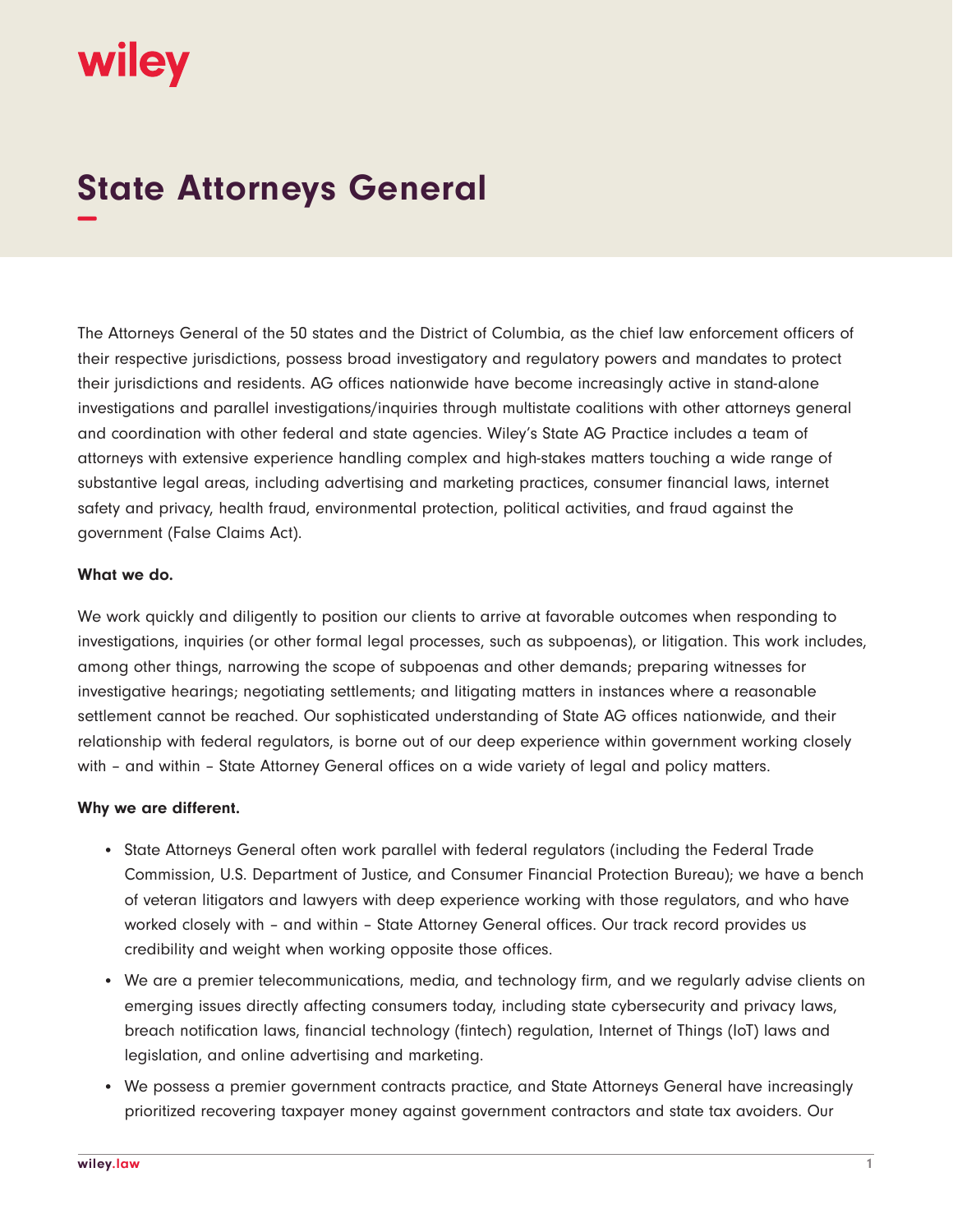# wiley

## **State Attorneys General −**

The Attorneys General of the 50 states and the District of Columbia, as the chief law enforcement officers of their respective jurisdictions, possess broad investigatory and regulatory powers and mandates to protect their jurisdictions and residents. AG offices nationwide have become increasingly active in stand-alone investigations and parallel investigations/inquiries through multistate coalitions with other attorneys general and coordination with other federal and state agencies. Wiley's State AG Practice includes a team of attorneys with extensive experience handling complex and high-stakes matters touching a wide range of substantive legal areas, including advertising and marketing practices, consumer financial laws, internet safety and privacy, health fraud, environmental protection, political activities, and fraud against the government (False Claims Act).

#### **What we do.**

We work quickly and diligently to position our clients to arrive at favorable outcomes when responding to investigations, inquiries (or other formal legal processes, such as subpoenas), or litigation. This work includes, among other things, narrowing the scope of subpoenas and other demands; preparing witnesses for investigative hearings; negotiating settlements; and litigating matters in instances where a reasonable settlement cannot be reached. Our sophisticated understanding of State AG offices nationwide, and their relationship with federal regulators, is borne out of our deep experience within government working closely with – and within – State Attorney General offices on a wide variety of legal and policy matters.

#### **Why we are different.**

- State Attorneys General often work parallel with federal regulators (including the Federal Trade Commission, U.S. Department of Justice, and Consumer Financial Protection Bureau); we have a bench of veteran litigators and lawyers with deep experience working with those regulators, and who have worked closely with – and within – State Attorney General offices. Our track record provides us credibility and weight when working opposite those offices.
- We are a premier telecommunications, media, and technology firm, and we regularly advise clients on emerging issues directly affecting consumers today, including state cybersecurity and privacy laws, breach notification laws, financial technology (fintech) regulation, Internet of Things (IoT) laws and legislation, and online advertising and marketing.
- We possess a premier government contracts practice, and State Attorneys General have increasingly prioritized recovering taxpayer money against government contractors and state tax avoiders. Our